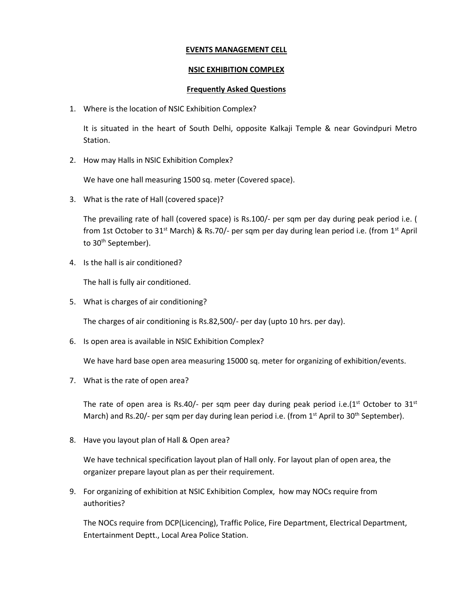## **EVENTS MANAGEMENT CELL**

## **NSIC EXHIBITION COMPLEX**

## **Frequently Asked Questions**

1. Where is the location of NSIC Exhibition Complex?

It is situated in the heart of South Delhi, opposite Kalkaji Temple & near Govindpuri Metro Station.

2. How may Halls in NSIC Exhibition Complex?

We have one hall measuring 1500 sq. meter (Covered space).

3. What is the rate of Hall (covered space)?

The prevailing rate of hall (covered space) is Rs.100/- per sqm per day during peak period i.e. ( from 1st October to 31<sup>st</sup> March) & Rs.70/- per sqm per day during lean period i.e. (from 1<sup>st</sup> April to 30<sup>th</sup> September).

4. Is the hall is air conditioned?

The hall is fully air conditioned.

5. What is charges of air conditioning?

The charges of air conditioning is Rs.82,500/- per day (upto 10 hrs. per day).

6. Is open area is available in NSIC Exhibition Complex?

We have hard base open area measuring 15000 sq. meter for organizing of exhibition/events.

7. What is the rate of open area?

The rate of open area is Rs.40/- per sqm peer day during peak period i.e.( $1<sup>st</sup>$  October to  $31<sup>st</sup>$ March) and Rs.20/- per sqm per day during lean period i.e. (from  $1<sup>st</sup>$  April to 30<sup>th</sup> September).

8. Have you layout plan of Hall & Open area?

We have technical specification layout plan of Hall only. For layout plan of open area, the organizer prepare layout plan as per their requirement.

9. For organizing of exhibition at NSIC Exhibition Complex, how may NOCs require from authorities?

The NOCs require from DCP(Licencing), Traffic Police, Fire Department, Electrical Department, Entertainment Deptt., Local Area Police Station.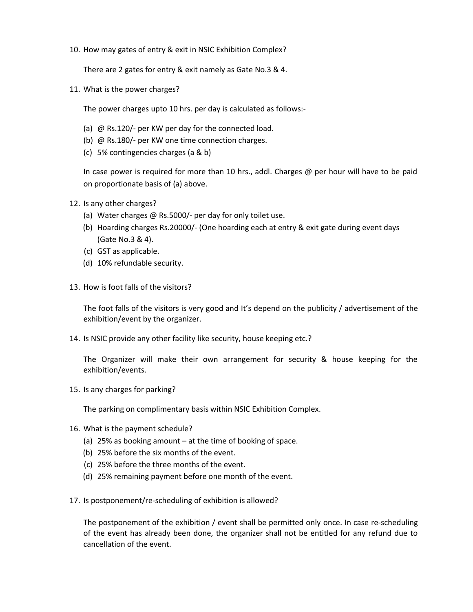10. How may gates of entry & exit in NSIC Exhibition Complex?

There are 2 gates for entry & exit namely as Gate No.3 & 4.

11. What is the power charges?

The power charges upto 10 hrs. per day is calculated as follows:-

- (a) @ Rs.120/- per KW per day for the connected load.
- (b) @ Rs.180/- per KW one time connection charges.
- (c) 5% contingencies charges (a & b)

In case power is required for more than 10 hrs., addl. Charges @ per hour will have to be paid on proportionate basis of (a) above.

- 12. Is any other charges?
	- (a) Water charges @ Rs.5000/- per day for only toilet use.
	- (b) Hoarding charges Rs.20000/- (One hoarding each at entry & exit gate during event days (Gate No.3 & 4).
	- (c) GST as applicable.
	- (d) 10% refundable security.
- 13. How is foot falls of the visitors?

The foot falls of the visitors is very good and It's depend on the publicity / advertisement of the exhibition/event by the organizer.

14. Is NSIC provide any other facility like security, house keeping etc.?

The Organizer will make their own arrangement for security & house keeping for the exhibition/events.

15. Is any charges for parking?

The parking on complimentary basis within NSIC Exhibition Complex.

- 16. What is the payment schedule?
	- (a) 25% as booking amount at the time of booking of space.
	- (b) 25% before the six months of the event.
	- (c) 25% before the three months of the event.
	- (d) 25% remaining payment before one month of the event.
- 17. Is postponement/re-scheduling of exhibition is allowed?

The postponement of the exhibition / event shall be permitted only once. In case re-scheduling of the event has already been done, the organizer shall not be entitled for any refund due to cancellation of the event.